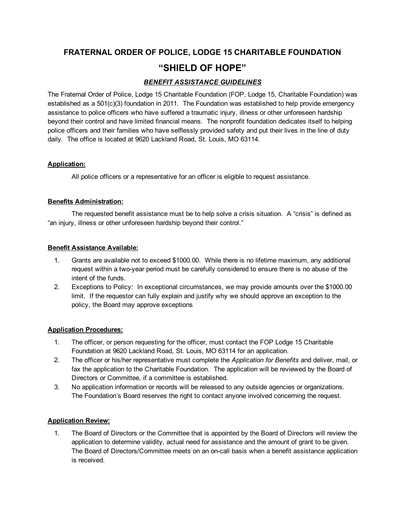# FRATERNAL ORDER OF POLICE, LODGE 15 CHARITABLE FOUNDATION "SHIELD OF HOPE"

# *BENEFIT ASSISTANCE GUIDELINES*

The Fraternal Order of Police, Lodge 15 Charitable Foundation (FOP, Lodge 15, Charitable Foundation) was established as a 501(c)(3) foundation in 2011. The Foundation was established to help provide emergency assistance to police officers who have suffered a traumatic injury, illness or other unforeseen hardship beyond their control and have limited financial means. The nonprofit foundation dedicates itself to helping police officers and their families who have selflessly provided safety and put their lives in the line of duty daily. The office is located at 9620 Lackland Road, St. Louis, MO 63114.

## Application:

All police officers or a representative for an officer is eligible to request assistance.

## Benefits Administration:

The requested benefit assistance must be to help solve a crisis situation. A "crisis" is defined as "an injury, illness or other unforeseen hardship beyond their control."

## Benefit Assistance Available:

- 1. Grants are available not to exceed \$1000.00. While there is no lifetime maximum, any additional request within a two-year period must be carefully considered to ensure there is no abuse of the intent of the funds.
- 2. Exceptions to Policy: In exceptional circumstances, we may provide amounts over the \$1000.00 limit. If the requestor can fully explain and justify why we should approve an exception to the policy, the Board may approve exceptions

## Application Procedures:

- 1. The officer, or person requesting for the officer, must contact the FOP Lodge 15 Charitable Foundation at 9620 Lackland Road, St. Louis, MO 63114 for an application.
- 2. The officer or his/her representative must complete the *Application for Benefits* and deliver, mail, or fax the application to the Charitable Foundation. The application will be reviewed by the Board of Directors or Committee, if a committee is established.
- 3. No application information or records will be released to any outside agencies or organizations. The Foundation's Board reserves the right to contact anyone involved concerning the request.

#### Application Review:

1. The Board of Directors or the Committee that is appointed by the Board of Directors will review the application to determine validity, actual need for assistance and the amount of grant to be given. The Board of Directors/Committee meets on an oncall basis when a benefit assistance application is received.